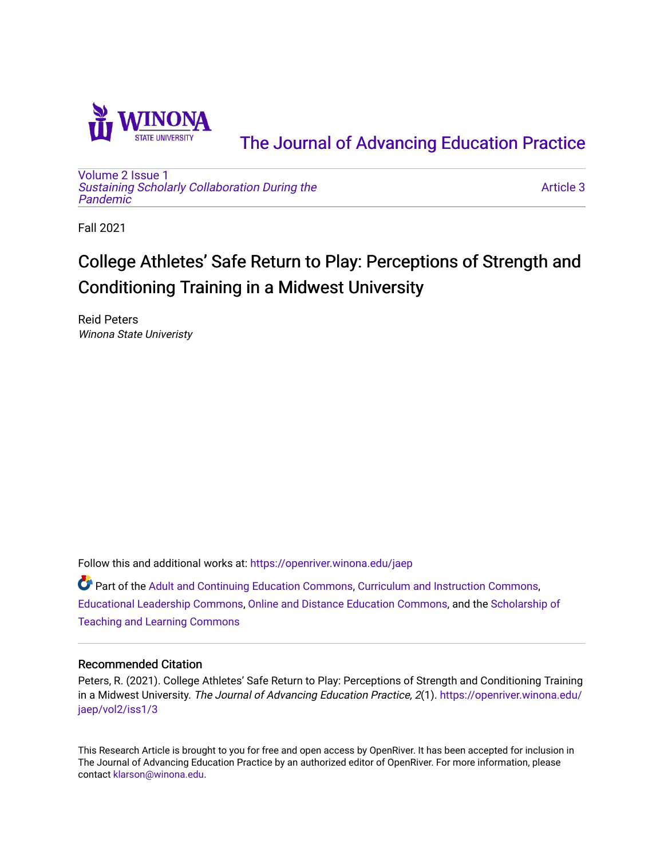

[The Journal of Advancing Education Practice](https://openriver.winona.edu/jaep) 

[Volume 2](https://openriver.winona.edu/jaep/vol2) [Issue 1](https://openriver.winona.edu/jaep/vol2/iss1)  [Sustaining Scholarly Collaboration During the](https://openriver.winona.edu/jaep/vol2/iss1)  [Pandemic](https://openriver.winona.edu/jaep/vol2/iss1) 

[Article 3](https://openriver.winona.edu/jaep/vol2/iss1/3) 

Fall 2021

# College Athletes' Safe Return to Play: Perceptions of Strength and Conditioning Training in a Midwest University

Reid Peters Winona State Univeristy

Follow this and additional works at: [https://openriver.winona.edu/jaep](https://openriver.winona.edu/jaep?utm_source=openriver.winona.edu%2Fjaep%2Fvol2%2Fiss1%2F3&utm_medium=PDF&utm_campaign=PDFCoverPages) 

**P** Part of the [Adult and Continuing Education Commons,](http://network.bepress.com/hgg/discipline/1375?utm_source=openriver.winona.edu%2Fjaep%2Fvol2%2Fiss1%2F3&utm_medium=PDF&utm_campaign=PDFCoverPages) [Curriculum and Instruction Commons,](http://network.bepress.com/hgg/discipline/786?utm_source=openriver.winona.edu%2Fjaep%2Fvol2%2Fiss1%2F3&utm_medium=PDF&utm_campaign=PDFCoverPages) [Educational Leadership Commons](http://network.bepress.com/hgg/discipline/1230?utm_source=openriver.winona.edu%2Fjaep%2Fvol2%2Fiss1%2F3&utm_medium=PDF&utm_campaign=PDFCoverPages), [Online and Distance Education Commons,](http://network.bepress.com/hgg/discipline/1296?utm_source=openriver.winona.edu%2Fjaep%2Fvol2%2Fiss1%2F3&utm_medium=PDF&utm_campaign=PDFCoverPages) and the [Scholarship of](http://network.bepress.com/hgg/discipline/1328?utm_source=openriver.winona.edu%2Fjaep%2Fvol2%2Fiss1%2F3&utm_medium=PDF&utm_campaign=PDFCoverPages)  [Teaching and Learning Commons](http://network.bepress.com/hgg/discipline/1328?utm_source=openriver.winona.edu%2Fjaep%2Fvol2%2Fiss1%2F3&utm_medium=PDF&utm_campaign=PDFCoverPages)

### Recommended Citation

Peters, R. (2021). College Athletes' Safe Return to Play: Perceptions of Strength and Conditioning Training in a Midwest University. The Journal of Advancing Education Practice, 2(1). [https://openriver.winona.edu/](https://openriver.winona.edu/jaep/vol2/iss1/3?utm_source=openriver.winona.edu%2Fjaep%2Fvol2%2Fiss1%2F3&utm_medium=PDF&utm_campaign=PDFCoverPages) [jaep/vol2/iss1/3](https://openriver.winona.edu/jaep/vol2/iss1/3?utm_source=openriver.winona.edu%2Fjaep%2Fvol2%2Fiss1%2F3&utm_medium=PDF&utm_campaign=PDFCoverPages) 

This Research Article is brought to you for free and open access by OpenRiver. It has been accepted for inclusion in The Journal of Advancing Education Practice by an authorized editor of OpenRiver. For more information, please contact [klarson@winona.edu](mailto:klarson@winona.edu).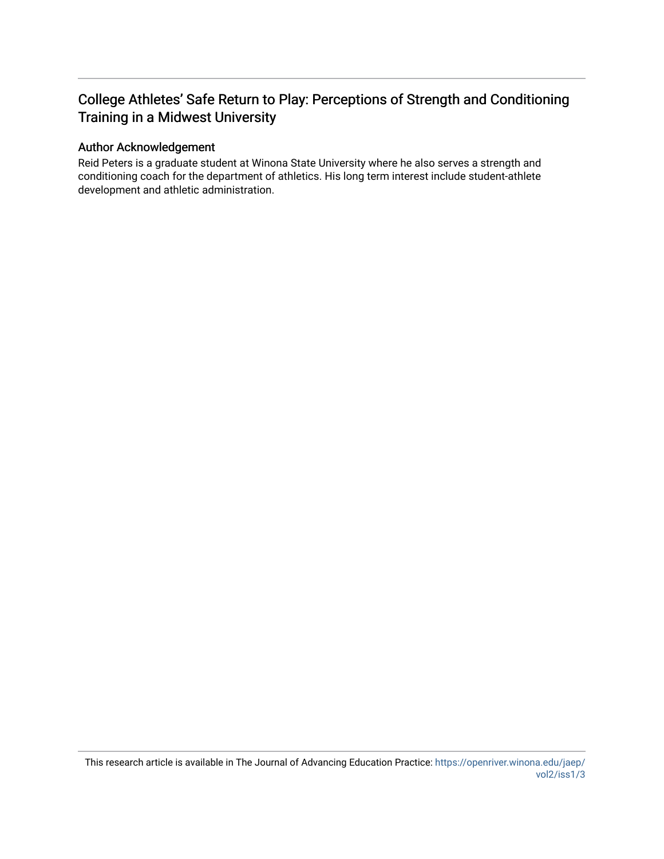# College Athletes' Safe Return to Play: Perceptions of Strength and Conditioning Training in a Midwest University

# Author Acknowledgement

Reid Peters is a graduate student at Winona State University where he also serves a strength and conditioning coach for the department of athletics. His long term interest include student-athlete development and athletic administration.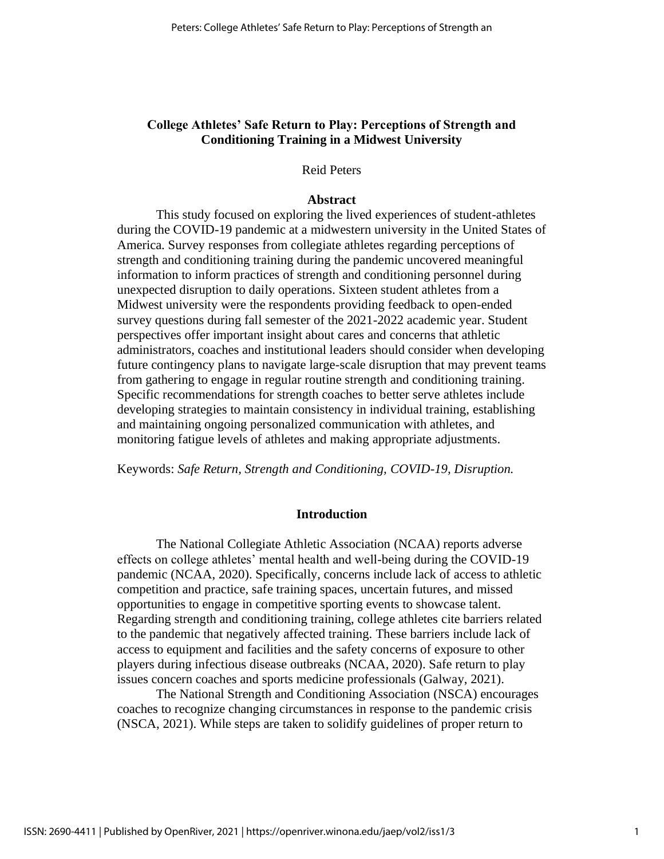# **College Athletes' Safe Return to Play: Perceptions of Strength and Conditioning Training in a Midwest University**

# Reid Peters

#### **Abstract**

This study focused on exploring the lived experiences of student-athletes during the COVID-19 pandemic at a midwestern university in the United States of America. Survey responses from collegiate athletes regarding perceptions of strength and conditioning training during the pandemic uncovered meaningful information to inform practices of strength and conditioning personnel during unexpected disruption to daily operations. Sixteen student athletes from a Midwest university were the respondents providing feedback to open-ended survey questions during fall semester of the 2021-2022 academic year. Student perspectives offer important insight about cares and concerns that athletic administrators, coaches and institutional leaders should consider when developing future contingency plans to navigate large-scale disruption that may prevent teams from gathering to engage in regular routine strength and conditioning training. Specific recommendations for strength coaches to better serve athletes include developing strategies to maintain consistency in individual training, establishing and maintaining ongoing personalized communication with athletes, and monitoring fatigue levels of athletes and making appropriate adjustments.

Keywords: *Safe Return, Strength and Conditioning, COVID-19, Disruption.*

#### **Introduction**

The National Collegiate Athletic Association (NCAA) reports adverse effects on college athletes' mental health and well-being during the COVID-19 pandemic (NCAA, 2020). Specifically, concerns include lack of access to athletic competition and practice, safe training spaces, uncertain futures, and missed opportunities to engage in competitive sporting events to showcase talent. Regarding strength and conditioning training, college athletes cite barriers related to the pandemic that negatively affected training. These barriers include lack of access to equipment and facilities and the safety concerns of exposure to other players during infectious disease outbreaks (NCAA, 2020). Safe return to play issues concern coaches and sports medicine professionals (Galway, 2021).

The National Strength and Conditioning Association (NSCA) encourages coaches to recognize changing circumstances in response to the pandemic crisis (NSCA, 2021). While steps are taken to solidify guidelines of proper return to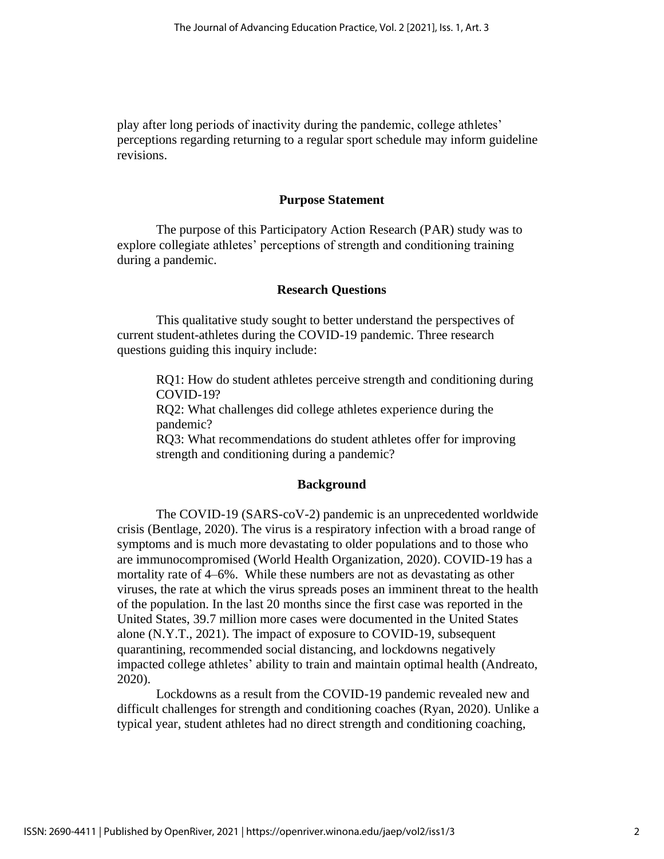play after long periods of inactivity during the pandemic, college athletes' perceptions regarding returning to a regular sport schedule may inform guideline revisions.

#### **Purpose Statement**

The purpose of this Participatory Action Research (PAR) study was to explore collegiate athletes' perceptions of strength and conditioning training during a pandemic.

#### **Research Questions**

This qualitative study sought to better understand the perspectives of current student-athletes during the COVID-19 pandemic. Three research questions guiding this inquiry include:

RQ1: How do student athletes perceive strength and conditioning during COVID-19?

RQ2: What challenges did college athletes experience during the pandemic?

RQ3: What recommendations do student athletes offer for improving strength and conditioning during a pandemic?

#### **Background**

The COVID-19 (SARS-coV-2) pandemic is an unprecedented worldwide crisis (Bentlage, 2020). The virus is a respiratory infection with a broad range of symptoms and is much more devastating to older populations and to those who are immunocompromised (World Health Organization, 2020). COVID-19 has a mortality rate of 4–6%. While these numbers are not as devastating as other viruses, the rate at which the virus spreads poses an imminent threat to the health of the population. In the last 20 months since the first case was reported in the United States, 39.7 million more cases were documented in the United States alone (N.Y.T., 2021). The impact of exposure to COVID-19, subsequent quarantining, recommended social distancing, and lockdowns negatively impacted college athletes' ability to train and maintain optimal health (Andreato, 2020).

Lockdowns as a result from the COVID-19 pandemic revealed new and difficult challenges for strength and conditioning coaches (Ryan, 2020). Unlike a typical year, student athletes had no direct strength and conditioning coaching,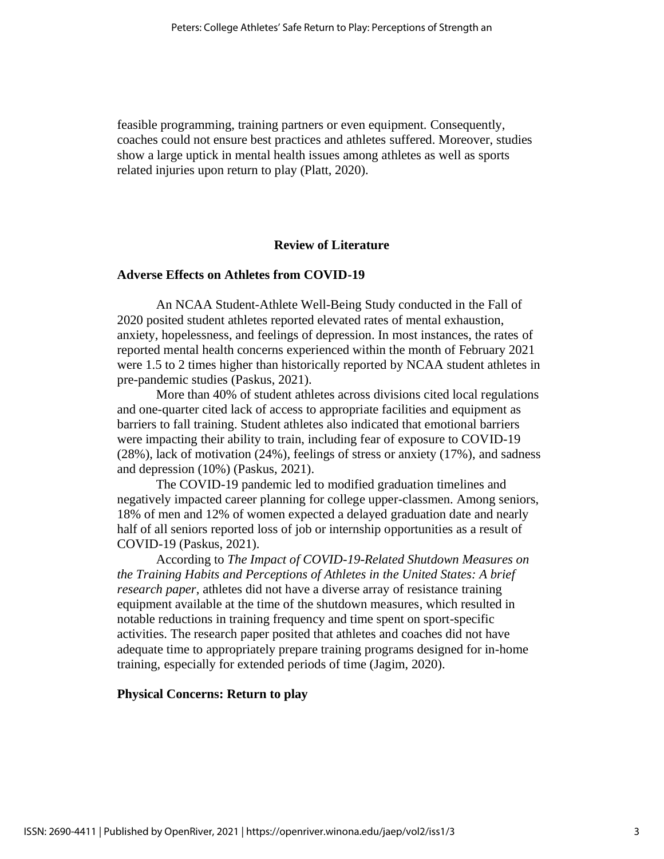feasible programming, training partners or even equipment. Consequently, coaches could not ensure best practices and athletes suffered. Moreover, studies show a large uptick in mental health issues among athletes as well as sports related injuries upon return to play (Platt, 2020).

# **Review of Literature**

### **Adverse Effects on Athletes from COVID-19**

An NCAA Student-Athlete Well-Being Study conducted in the Fall of 2020 posited student athletes reported elevated rates of mental exhaustion, anxiety, hopelessness, and feelings of depression. In most instances, the rates of reported mental health concerns experienced within the month of February 2021 were 1.5 to 2 times higher than historically reported by NCAA student athletes in pre-pandemic studies (Paskus, 2021).

More than 40% of student athletes across divisions cited local regulations and one-quarter cited lack of access to appropriate facilities and equipment as barriers to fall training. Student athletes also indicated that emotional barriers were impacting their ability to train, including fear of exposure to COVID-19 (28%), lack of motivation (24%), feelings of stress or anxiety (17%), and sadness and depression (10%) (Paskus, 2021).

The COVID-19 pandemic led to modified graduation timelines and negatively impacted career planning for college upper-classmen. Among seniors, 18% of men and 12% of women expected a delayed graduation date and nearly half of all seniors reported loss of job or internship opportunities as a result of COVID-19 (Paskus, 2021).

According to *The Impact of COVID-19-Related Shutdown Measures on the Training Habits and Perceptions of Athletes in the United States: A brief research paper*, athletes did not have a diverse array of resistance training equipment available at the time of the shutdown measures, which resulted in notable reductions in training frequency and time spent on sport-specific activities. The research paper posited that athletes and coaches did not have adequate time to appropriately prepare training programs designed for in-home training, especially for extended periods of time (Jagim, 2020).

### **Physical Concerns: Return to play**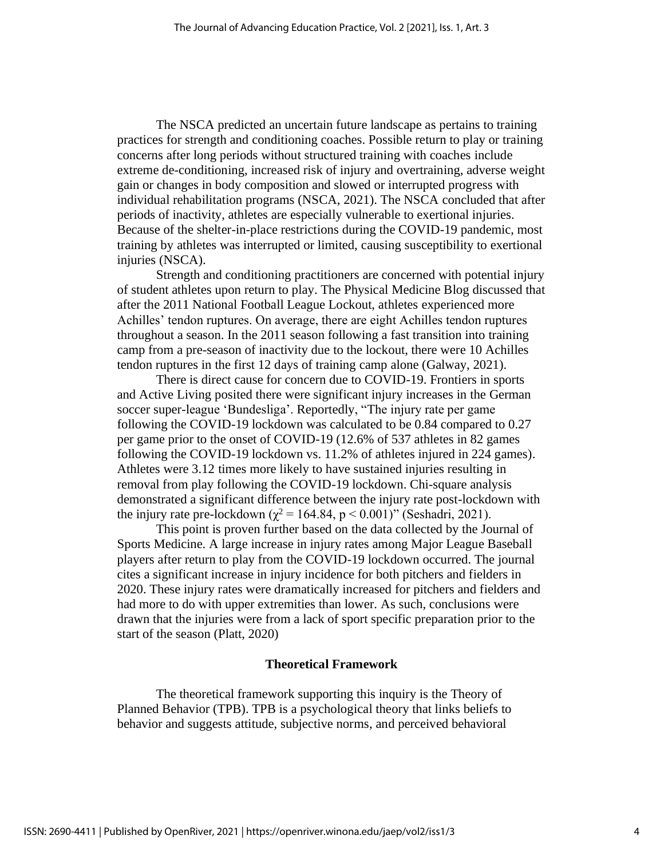The NSCA predicted an uncertain future landscape as pertains to training practices for strength and conditioning coaches. Possible return to play or training concerns after long periods without structured training with coaches include extreme de-conditioning, increased risk of injury and overtraining, adverse weight gain or changes in body composition and slowed or interrupted progress with individual rehabilitation programs (NSCA, 2021). The NSCA concluded that after periods of inactivity, athletes are especially vulnerable to exertional injuries. Because of the shelter-in-place restrictions during the COVID-19 pandemic, most training by athletes was interrupted or limited, causing susceptibility to exertional injuries (NSCA).

Strength and conditioning practitioners are concerned with potential injury of student athletes upon return to play. The Physical Medicine Blog discussed that after the 2011 National Football League Lockout, athletes experienced more Achilles' tendon ruptures. On average, there are eight Achilles tendon ruptures throughout a season. In the 2011 season following a fast transition into training camp from a pre-season of inactivity due to the lockout, there were 10 Achilles tendon ruptures in the first 12 days of training camp alone (Galway, 2021).

There is direct cause for concern due to COVID-19. Frontiers in sports and Active Living posited there were significant injury increases in the German soccer super-league 'Bundesliga'. Reportedly, "The injury rate per game following the COVID-19 lockdown was calculated to be 0.84 compared to 0.27 per game prior to the onset of COVID-19 (12.6% of 537 athletes in 82 games following the COVID-19 lockdown vs. 11.2% of athletes injured in 224 games). Athletes were 3.12 times more likely to have sustained injuries resulting in removal from play following the COVID-19 lockdown. Chi-square analysis demonstrated a significant difference between the injury rate post-lockdown with the injury rate pre-lockdown ( $\chi^2$  = 164.84, p < 0.001)" (Seshadri, 2021).

This point is proven further based on the data collected by the Journal of Sports Medicine. A large increase in injury rates among Major League Baseball players after return to play from the COVID-19 lockdown occurred. The journal cites a significant increase in injury incidence for both pitchers and fielders in 2020. These injury rates were dramatically increased for pitchers and fielders and had more to do with upper extremities than lower. As such, conclusions were drawn that the injuries were from a lack of sport specific preparation prior to the start of the season (Platt, 2020)

#### **Theoretical Framework**

The theoretical framework supporting this inquiry is the Theory of Planned Behavior (TPB). TPB is a psychological theory that links beliefs to behavior and suggests attitude, subjective norms, and perceived behavioral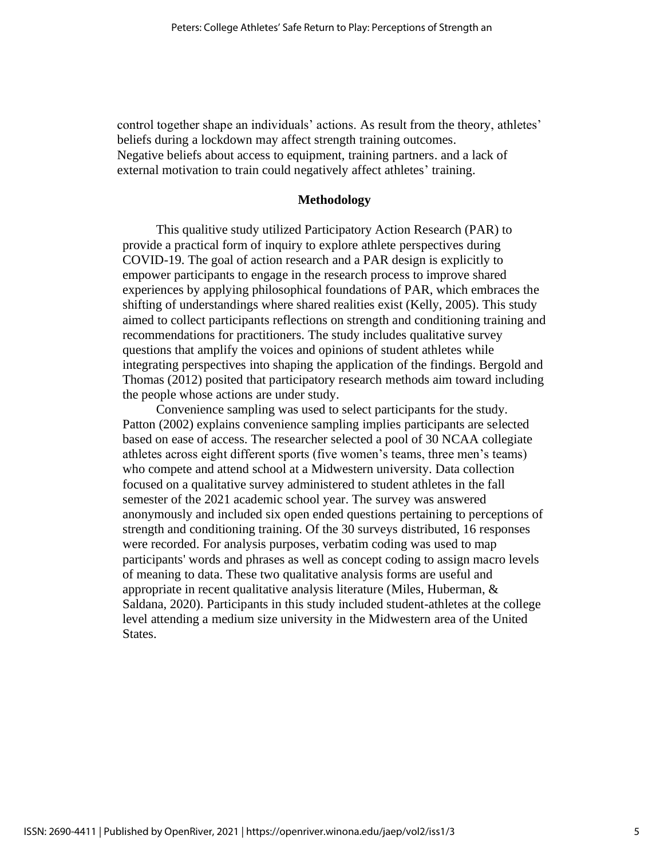control together shape an individuals' actions. As result from the theory, athletes' beliefs during a lockdown may affect strength training outcomes. Negative beliefs about access to equipment, training partners. and a lack of external motivation to train could negatively affect athletes' training.

#### **Methodology**

This qualitive study utilized Participatory Action Research (PAR) to provide a practical form of inquiry to explore athlete perspectives during COVID-19. The goal of action research and a PAR design is explicitly to empower participants to engage in the research process to improve shared experiences by applying philosophical foundations of PAR, which embraces the shifting of understandings where shared realities exist (Kelly, 2005). This study aimed to collect participants reflections on strength and conditioning training and recommendations for practitioners. The study includes qualitative survey questions that amplify the voices and opinions of student athletes while integrating perspectives into shaping the application of the findings. Bergold and Thomas (2012) posited that participatory research methods aim toward including the people whose actions are under study.

Convenience sampling was used to select participants for the study. Patton (2002) explains convenience sampling implies participants are selected based on ease of access. The researcher selected a pool of 30 NCAA collegiate athletes across eight different sports (five women's teams, three men's teams) who compete and attend school at a Midwestern university. Data collection focused on a qualitative survey administered to student athletes in the fall semester of the 2021 academic school year. The survey was answered anonymously and included six open ended questions pertaining to perceptions of strength and conditioning training. Of the 30 surveys distributed, 16 responses were recorded. For analysis purposes, verbatim coding was used to map participants' words and phrases as well as concept coding to assign macro levels of meaning to data. These two qualitative analysis forms are useful and appropriate in recent qualitative analysis literature (Miles, Huberman, & Saldana, 2020). Participants in this study included student-athletes at the college level attending a medium size university in the Midwestern area of the United States.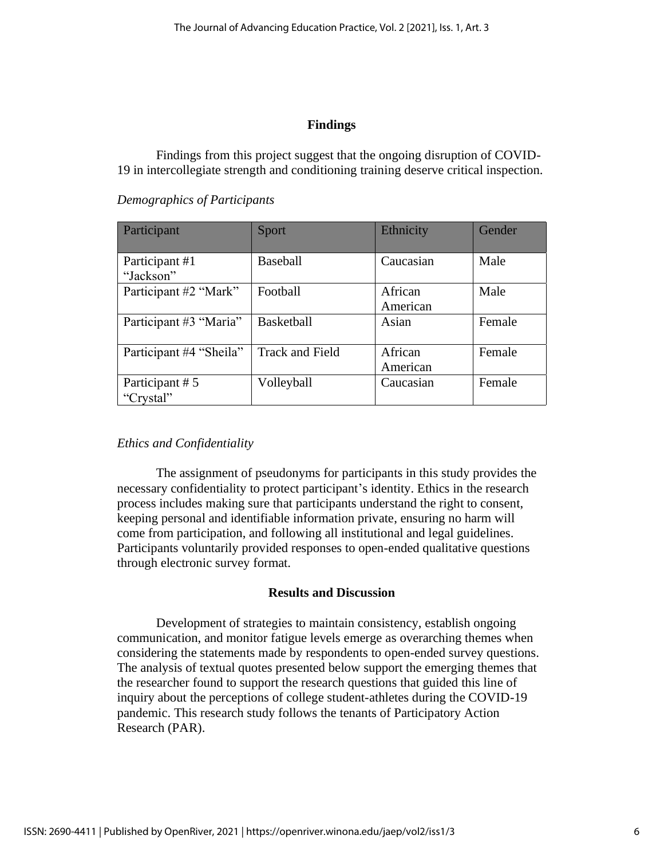# **Findings**

Findings from this project suggest that the ongoing disruption of COVID-19 in intercollegiate strength and conditioning training deserve critical inspection.

*Demographics of Participants*

| Participant                 | Sport                  | Ethnicity           | Gender |
|-----------------------------|------------------------|---------------------|--------|
| Participant #1<br>"Jackson" | <b>Baseball</b>        | Caucasian           | Male   |
| Participant #2 "Mark"       | Football               | African<br>American | Male   |
| Participant #3 "Maria"      | Basketball             | Asian               | Female |
| Participant #4 "Sheila"     | <b>Track and Field</b> | African<br>American | Female |
| Participant #5<br>"Crystal" | Volleyball             | Caucasian           | Female |

# *Ethics and Confidentiality*

The assignment of pseudonyms for participants in this study provides the necessary confidentiality to protect participant's identity. Ethics in the research process includes making sure that participants understand the right to consent, keeping personal and identifiable information private, ensuring no harm will come from participation, and following all institutional and legal guidelines. Participants voluntarily provided responses to open-ended qualitative questions through electronic survey format.

# **Results and Discussion**

Development of strategies to maintain consistency, establish ongoing communication, and monitor fatigue levels emerge as overarching themes when considering the statements made by respondents to open-ended survey questions. The analysis of textual quotes presented below support the emerging themes that the researcher found to support the research questions that guided this line of inquiry about the perceptions of college student-athletes during the COVID-19 pandemic. This research study follows the tenants of Participatory Action Research (PAR).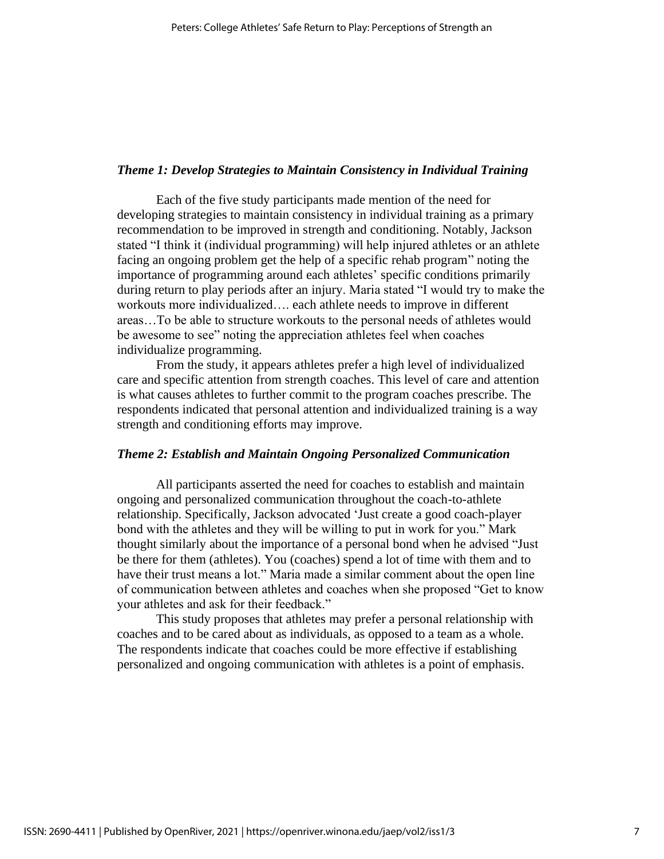# *Theme 1: Develop Strategies to Maintain Consistency in Individual Training*

Each of the five study participants made mention of the need for developing strategies to maintain consistency in individual training as a primary recommendation to be improved in strength and conditioning. Notably, Jackson stated "I think it (individual programming) will help injured athletes or an athlete facing an ongoing problem get the help of a specific rehab program" noting the importance of programming around each athletes' specific conditions primarily during return to play periods after an injury. Maria stated "I would try to make the workouts more individualized…. each athlete needs to improve in different areas…To be able to structure workouts to the personal needs of athletes would be awesome to see" noting the appreciation athletes feel when coaches individualize programming.

From the study, it appears athletes prefer a high level of individualized care and specific attention from strength coaches. This level of care and attention is what causes athletes to further commit to the program coaches prescribe. The respondents indicated that personal attention and individualized training is a way strength and conditioning efforts may improve.

# *Theme 2: Establish and Maintain Ongoing Personalized Communication*

All participants asserted the need for coaches to establish and maintain ongoing and personalized communication throughout the coach-to-athlete relationship. Specifically, Jackson advocated 'Just create a good coach-player bond with the athletes and they will be willing to put in work for you." Mark thought similarly about the importance of a personal bond when he advised "Just be there for them (athletes). You (coaches) spend a lot of time with them and to have their trust means a lot." Maria made a similar comment about the open line of communication between athletes and coaches when she proposed "Get to know your athletes and ask for their feedback."

This study proposes that athletes may prefer a personal relationship with coaches and to be cared about as individuals, as opposed to a team as a whole. The respondents indicate that coaches could be more effective if establishing personalized and ongoing communication with athletes is a point of emphasis.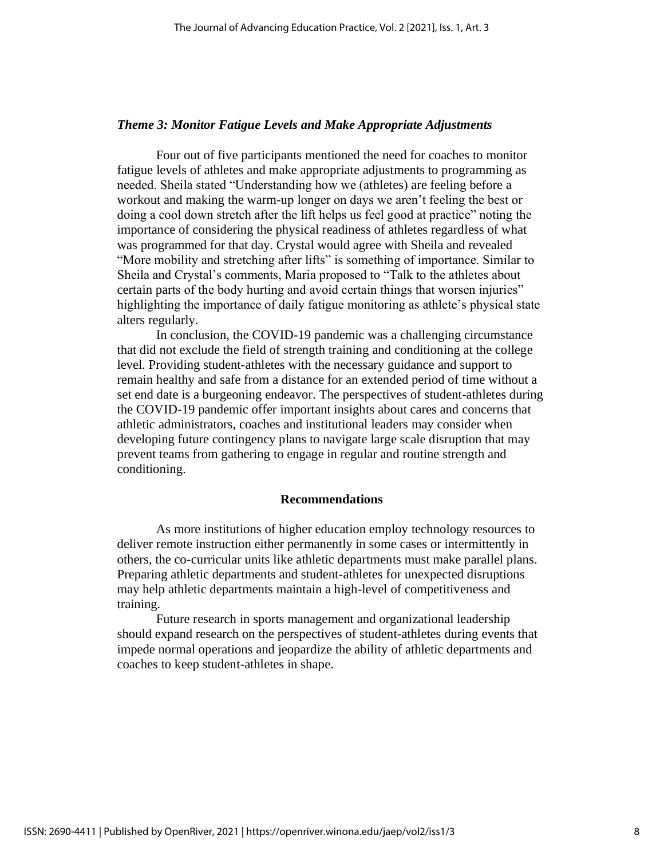#### *Theme 3: Monitor Fatigue Levels and Make Appropriate Adjustments*

Four out of five participants mentioned the need for coaches to monitor fatigue levels of athletes and make appropriate adjustments to programming as needed. Sheila stated "Understanding how we (athletes) are feeling before a workout and making the warm-up longer on days we aren't feeling the best or doing a cool down stretch after the lift helps us feel good at practice" noting the importance of considering the physical readiness of athletes regardless of what was programmed for that day. Crystal would agree with Sheila and revealed "More mobility and stretching after lifts" is something of importance. Similar to Sheila and Crystal's comments, Maria proposed to "Talk to the athletes about certain parts of the body hurting and avoid certain things that worsen injuries" highlighting the importance of daily fatigue monitoring as athlete's physical state alters regularly.

In conclusion, the COVID-19 pandemic was a challenging circumstance that did not exclude the field of strength training and conditioning at the college level. Providing student-athletes with the necessary guidance and support to remain healthy and safe from a distance for an extended period of time without a set end date is a burgeoning endeavor. The perspectives of student-athletes during the COVID-19 pandemic offer important insights about cares and concerns that athletic administrators, coaches and institutional leaders may consider when developing future contingency plans to navigate large scale disruption that may prevent teams from gathering to engage in regular and routine strength and conditioning.

#### **Recommendations**

As more institutions of higher education employ technology resources to deliver remote instruction either permanently in some cases or intermittently in others, the co-curricular units like athletic departments must make parallel plans. Preparing athletic departments and student-athletes for unexpected disruptions may help athletic departments maintain a high-level of competitiveness and training.

Future research in sports management and organizational leadership should expand research on the perspectives of student-athletes during events that impede normal operations and jeopardize the ability of athletic departments and coaches to keep student-athletes in shape.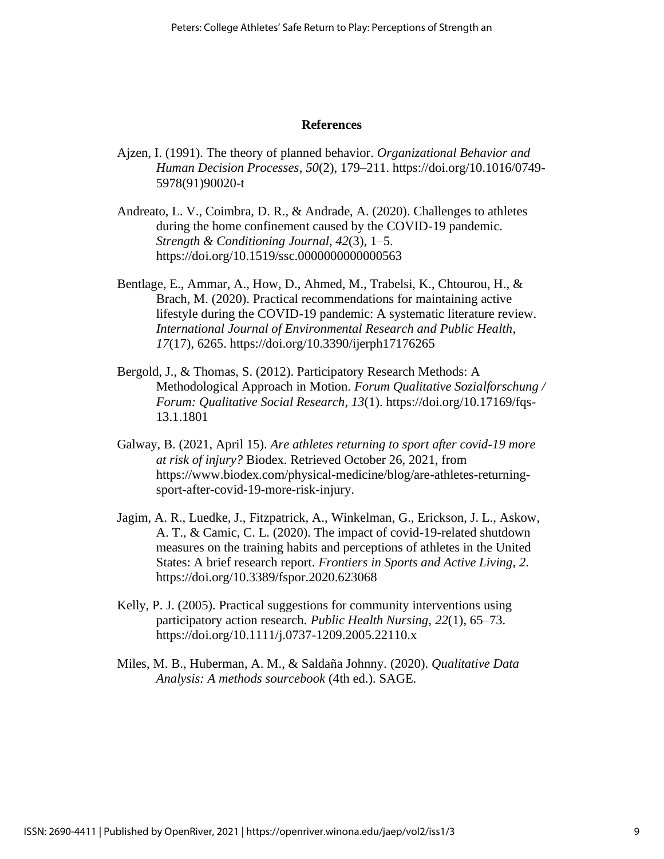#### **References**

- Ajzen, I. (1991). The theory of planned behavior. *Organizational Behavior and Human Decision Processes*, *50*(2), 179–211. https://doi.org/10.1016/0749- 5978(91)90020-t
- Andreato, L. V., Coimbra, D. R., & Andrade, A. (2020). Challenges to athletes during the home confinement caused by the COVID-19 pandemic. *Strength & Conditioning Journal*, *42*(3), 1–5. https://doi.org/10.1519/ssc.0000000000000563
- Bentlage, E., Ammar, A., How, D., Ahmed, M., Trabelsi, K., Chtourou, H., & Brach, M. (2020). Practical recommendations for maintaining active lifestyle during the COVID-19 pandemic: A systematic literature review. *International Journal of Environmental Research and Public Health*, *17*(17), 6265.<https://doi.org/10.3390/ijerph17176265>
- Bergold, J., & Thomas, S. (2012). Participatory Research Methods: A Methodological Approach in Motion. *Forum Qualitative Sozialforschung / Forum: Qualitative Social Research*, *13*(1). [https://doi.org/10.17169/fqs-](https://doi.org/10.17169/fqs-13.1.1801)[13.1.1801](https://doi.org/10.17169/fqs-13.1.1801)
- Galway, B. (2021, April 15). *Are athletes returning to sport after covid-19 more at risk of injury?* Biodex. Retrieved October 26, 2021, from https://www.biodex.com/physical-medicine/blog/are-athletes-returningsport-after-covid-19-more-risk-injury.
- Jagim, A. R., Luedke, J., Fitzpatrick, A., Winkelman, G., Erickson, J. L., Askow, A. T., & Camic, C. L. (2020). The impact of covid-19-related shutdown measures on the training habits and perceptions of athletes in the United States: A brief research report. *Frontiers in Sports and Active Living*, *2*. https://doi.org/10.3389/fspor.2020.623068
- Kelly, P. J. (2005). Practical suggestions for community interventions using participatory action research. *Public Health Nursing*, *22*(1), 65–73. https://doi.org/10.1111/j.0737-1209.2005.22110.x
- Miles, M. B., Huberman, A. M., & Saldaña Johnny. (2020). *Qualitative Data Analysis: A methods sourcebook* (4th ed.). SAGE.